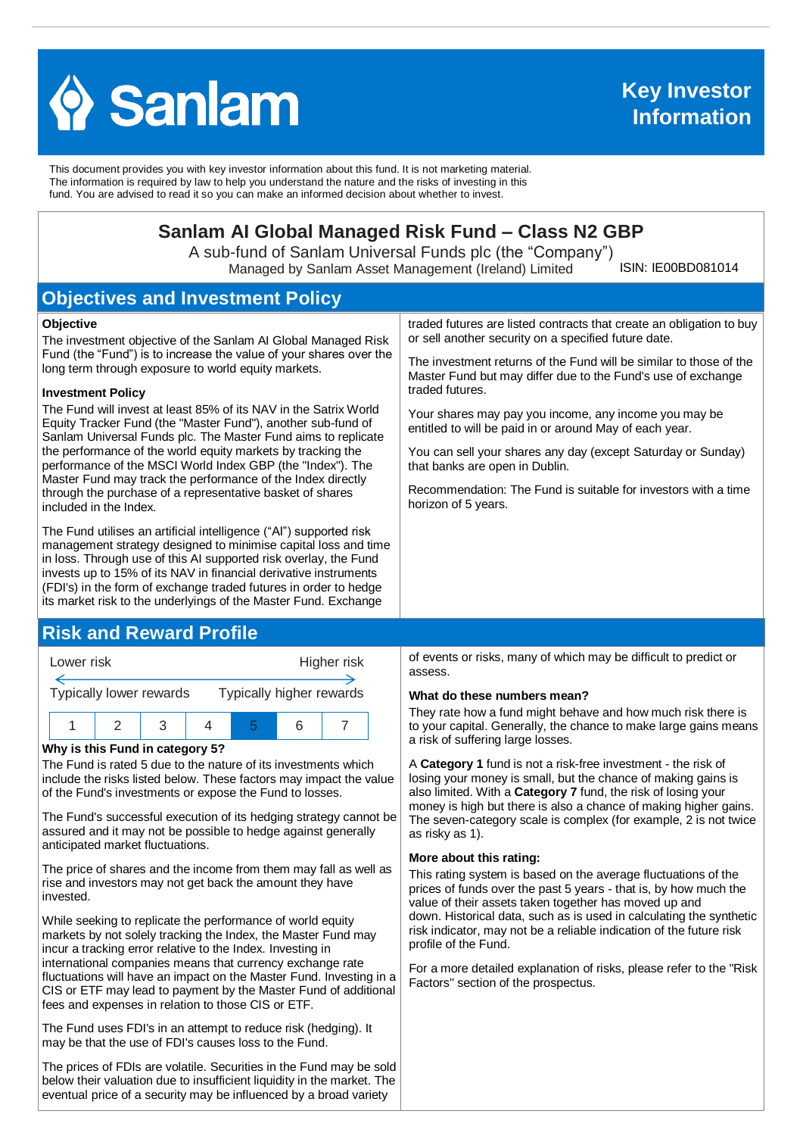

This document provides you with key investor information about this fund. It is not marketing material. The information is required by law to help you understand the nature and the risks of investing in this fund. You are advised to read it so you can make an informed decision about whether to invest.

# **Sanlam AI Global Managed Risk Fund – Class N2 GBP**

A sub-fund of Sanlam Universal Funds plc (the "Company") Managed by Sanlam Asset Management (Ireland) Limited

ISIN: IE00BD081014

# **Objectives and Investment Policy**

#### **Objective**

The investment objective of the Sanlam AI Global Managed Risk Fund (the "Fund") is to increase the value of your shares over the long term through exposure to world equity markets.

#### **Investment Policy**

The Fund will invest at least 85% of its NAV in the Satrix World Equity Tracker Fund (the "Master Fund"), another sub-fund of Sanlam Universal Funds plc. The Master Fund aims to replicate the performance of the world equity markets by tracking the performance of the MSCI World Index GBP (the "Index"). The Master Fund may track the performance of the Index directly through the purchase of a representative basket of shares included in the Index.

The Fund utilises an artificial intelligence ("AI") supported risk management strategy designed to minimise capital loss and time in loss. Through use of this AI supported risk overlay, the Fund invests up to 15% of its NAV in financial derivative instruments (FDI's) in the form of exchange traded futures in order to hedge its market risk to the underlyings of the Master Fund. Exchange

## **Risk and Reward Profile**



#### **Why is this Fund in category 5?**

The Fund is rated 5 due to the nature of its investments which include the risks listed below. These factors may impact the value of the Fund's investments or expose the Fund to losses.

The Fund's successful execution of its hedging strategy cannot be assured and it may not be possible to hedge against generally anticipated market fluctuations.

The price of shares and the income from them may fall as well as rise and investors may not get back the amount they have invested.

While seeking to replicate the performance of world equity markets by not solely tracking the Index, the Master Fund may incur a tracking error relative to the Index. Investing in international companies means that currency exchange rate fluctuations will have an impact on the Master Fund. Investing in a CIS or ETF may lead to payment by the Master Fund of additional fees and expenses in relation to those CIS or ETF.

The Fund uses FDI's in an attempt to reduce risk (hedging). It may be that the use of FDI's causes loss to the Fund.

The prices of FDIs are volatile. Securities in the Fund may be sold below their valuation due to insufficient liquidity in the market. The eventual price of a security may be influenced by a broad variety

traded futures are listed contracts that create an obligation to buy or sell another security on a specified future date.

The investment returns of the Fund will be similar to those of the Master Fund but may differ due to the Fund's use of exchange traded futures.

Your shares may pay you income, any income you may be entitled to will be paid in or around May of each year.

You can sell your shares any day (except Saturday or Sunday) that banks are open in Dublin.

Recommendation: The Fund is suitable for investors with a time horizon of 5 years.

of events or risks, many of which may be difficult to predict or assess.

#### **What do these numbers mean?**

They rate how a fund might behave and how much risk there is to your capital. Generally, the chance to make large gains means a risk of suffering large losses.

A **Category 1** fund is not a risk-free investment - the risk of losing your money is small, but the chance of making gains is also limited. With a **Category 7** fund, the risk of losing your money is high but there is also a chance of making higher gains. The seven-category scale is complex (for example, 2 is not twice as risky as 1).

#### **More about this rating:**

This rating system is based on the average fluctuations of the prices of funds over the past 5 years - that is, by how much the value of their assets taken together has moved up and down. Historical data, such as is used in calculating the synthetic risk indicator, may not be a reliable indication of the future risk profile of the Fund.

For a more detailed explanation of risks, please refer to the ''Risk Factors'' section of the prospectus.